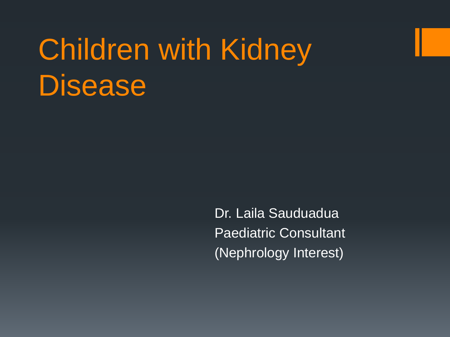# Children with Kidney **Disease**

Dr. Laila Sauduadua Paediatric Consultant (Nephrology Interest)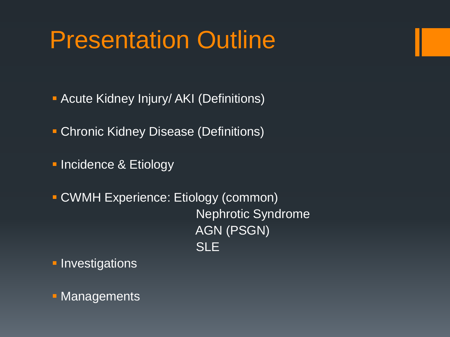## Presentation Outline

- **Acute Kidney Injury/ AKI (Definitions)**
- **Chronic Kidney Disease (Definitions)**
- **Incidence & Etiology**
- CWMH Experience: Etiology (common) Nephrotic Syndrome AGN (PSGN) **SLE**
- **Investigations**
- **Managements**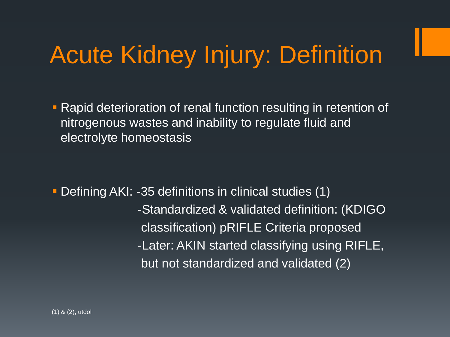# Acute Kidney Injury: Definition

**Rapid deterioration of renal function resulting in retention of** nitrogenous wastes and inability to regulate fluid and electrolyte homeostasis

 Defining AKI: -35 definitions in clinical studies (1) -Standardized & validated definition: (KDIGO classification) pRIFLE Criteria proposed -Later: AKIN started classifying using RIFLE, but not standardized and validated (2)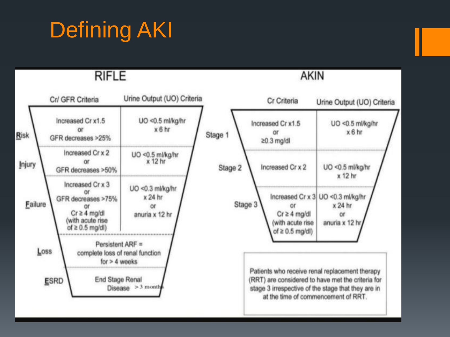### Defining AKI

**RIFLE** 



**AKIN**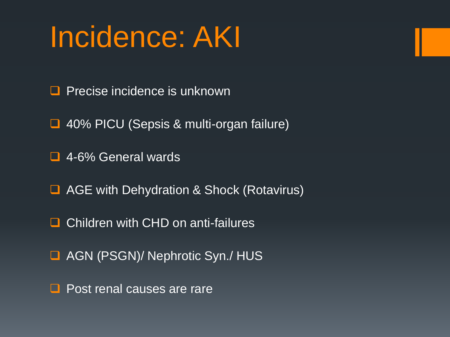# Incidence: AKI

- $\Box$  Precise incidence is unknown
- **□ 40% PICU (Sepsis & multi-organ failure)**
- 4-6% General wards
- **AGE with Dehydration & Shock (Rotavirus)**
- **□** Children with CHD on anti-failures
- AGN (PSGN)/ Nephrotic Syn./ HUS
- Post renal causes are rare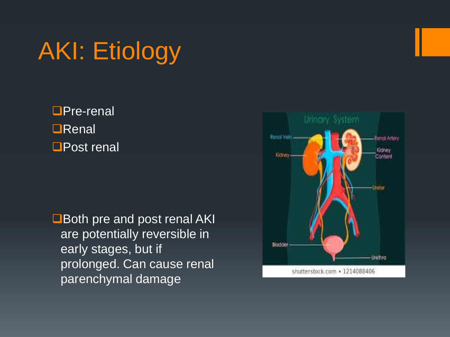# AKI: Etiology

**□Pre-renal ORenal □Post renal** 

**O** Both pre and post renal AKI are potentially reversible in early stages, but if prolonged. Can cause renal parenchymal damage

![](_page_5_Picture_3.jpeg)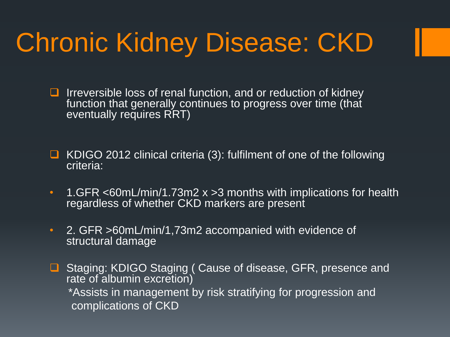# Chronic Kidney Disease: CKD

- $\Box$  Irreversible loss of renal function, and or reduction of kidney function that generally continues to progress over time (that eventually requires RRT)
- KDIGO 2012 clinical criteria (3): fulfilment of one of the following criteria:
- 1.GFR <60mL/min/1.73m2 x >3 months with implications for health regardless of whether CKD markers are present
- 2. GFR >60mL/min/1,73m2 accompanied with evidence of structural damage
- Staging: KDIGO Staging ( Cause of disease, GFR, presence and rate of albumin excretion) \*Assists in management by risk stratifying for progression and complications of CKD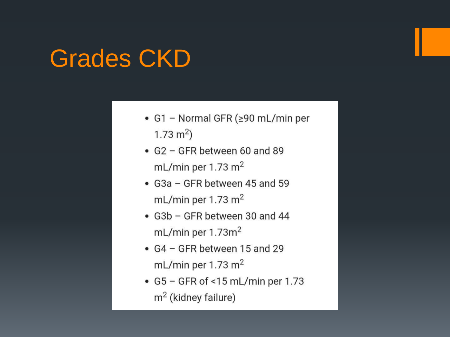#### Grades CKD

- G1 Normal GFR ( $\geq$ 90 mL/min per 1.73  $m<sup>2</sup>$ )
- G2 GFR between 60 and 89 mL/min per 1.73  $m<sup>2</sup>$
- G3a GFR between 45 and 59 mL/min per 1.73  $m<sup>2</sup>$
- G3b GFR between 30 and 44 mL/min per  $1.73m<sup>2</sup>$
- $G4 GFR$  between 15 and 29 mL/min per 1.73  $m<sup>2</sup>$
- G5 GFR of <15 mL/min per 1.73  $m<sup>2</sup>$  (kidney failure)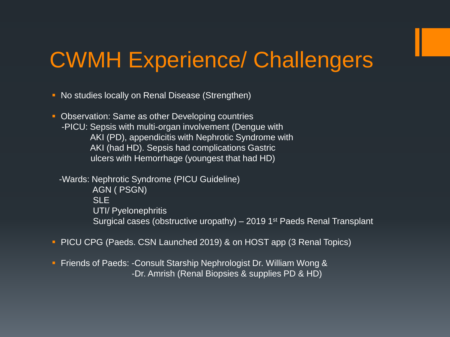#### CWMH Experience/ Challengers

• No studies locally on Renal Disease (Strengthen)

• Observation: Same as other Developing countries -PICU: Sepsis with multi-organ involvement (Dengue with AKI (PD), appendicitis with Nephrotic Syndrome with AKI (had HD). Sepsis had complications Gastric ulcers with Hemorrhage (youngest that had HD)

 -Wards: Nephrotic Syndrome (PICU Guideline) AGN ( PSGN) **SLE** UTI/ Pyelonephritis Surgical cases (obstructive uropathy) – 2019 1<sup>st</sup> Paeds Renal Transplant

- **PICU CPG (Paeds. CSN Launched 2019) & on HOST app (3 Renal Topics)**
- **Firms** Friends of Paeds: -Consult Starship Nephrologist Dr. William Wong & -Dr. Amrish (Renal Biopsies & supplies PD & HD)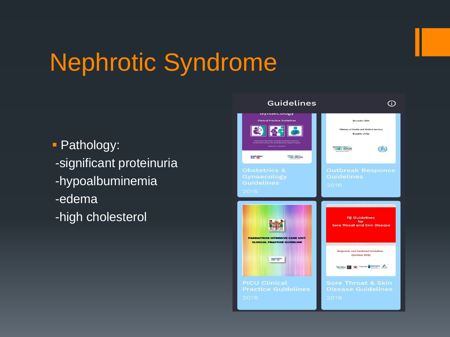## Nephrotic Syndrome

**Pathology:** -significant proteinuria -hypoalbuminemia -edema -high cholesterol

![](_page_9_Picture_2.jpeg)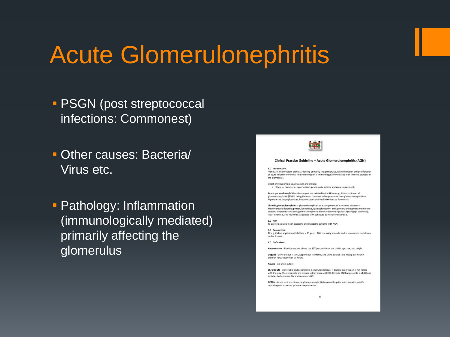## Acute Glomerulonephritis

- **PSGN (post streptococcal** infections: Commonest)
- Other causes: Bacteria/ Virus etc.
- **Pathology: Inflammation** (immunologically mediated) primarily affecting the glomerulus

![](_page_10_Picture_4.jpeg)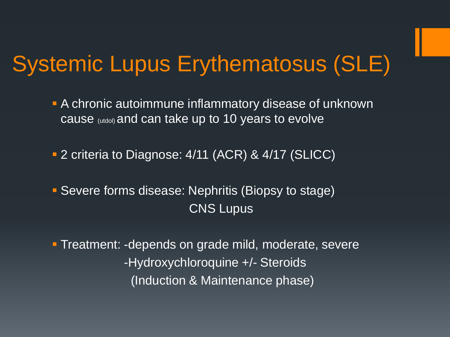#### Systemic Lupus Erythematosus (SLE)

- A chronic autoimmune inflammatory disease of unknown cause (utdol) and can take up to 10 years to evolve
- 2 criteria to Diagnose: 4/11 (ACR) & 4/17 (SLICC)
- **Severe forms disease: Nephritis (Biopsy to stage)** CNS Lupus
- **Treatment: -depends on grade mild, moderate, severe**  -Hydroxychloroquine +/- Steroids (Induction & Maintenance phase)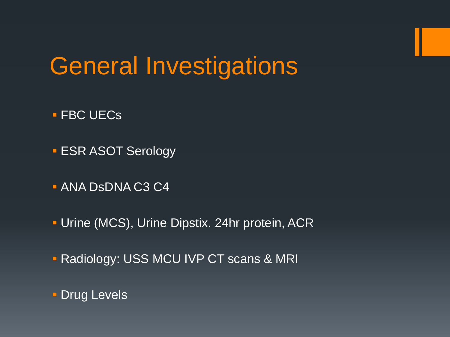## General Investigations

- **FBC UECs**
- **ESR ASOT Serology**
- **ANA DsDNA C3 C4**
- **Urine (MCS), Urine Dipstix. 24hr protein, ACR**
- **Radiology: USS MCU IVP CT scans & MRI**
- **Drug Levels**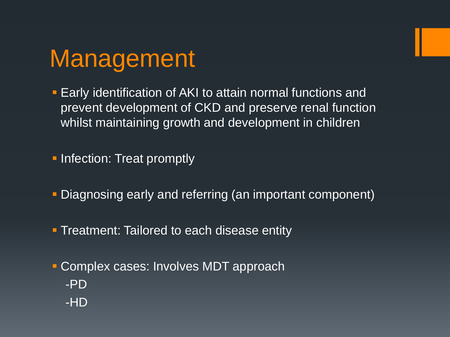![](_page_13_Picture_0.jpeg)

- **Early identification of AKI to attain normal functions and** prevent development of CKD and preserve renal function whilst maintaining growth and development in children
- **Infection: Treat promptly**
- Diagnosing early and referring (an important component)
- **Treatment: Tailored to each disease entity**
- **Complex cases: Involves MDT approach**  -PD -HD